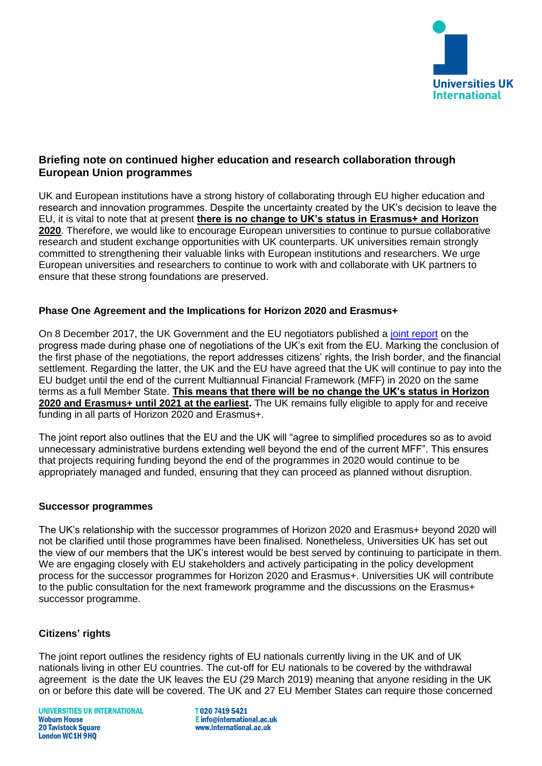

## **Briefing note on continued higher education and research collaboration through European Union programmes**

UK and European institutions have a strong history of collaborating through EU higher education and research and innovation programmes. Despite the uncertainty created by the UK's decision to leave the EU, it is vital to note that at present **there is no change to UK's status in Erasmus+ and Horizon 2020**. Therefore, we would like to encourage European universities to continue to pursue collaborative research and student exchange opportunities with UK counterparts. UK universities remain strongly committed to strengthening their valuable links with European institutions and researchers. We urge European universities and researchers to continue to work with and collaborate with UK partners to ensure that these strong foundations are preserved.

### **Phase One Agreement and the Implications for Horizon 2020 and Erasmus+**

On 8 December 2017, the UK Government and the EU negotiators published a [joint report](https://ec.europa.eu/commission/sites/beta-political/files/joint_report.pdf) on the progress made during phase one of negotiations of the UK's exit from the EU. Marking the conclusion of the first phase of the negotiations, the report addresses citizens' rights, the Irish border, and the financial settlement. Regarding the latter, the UK and the EU have agreed that the UK will continue to pay into the EU budget until the end of the current Multiannual Financial Framework (MFF) in 2020 on the same terms as a full Member State. **This means that there will be no change the UK's status in Horizon 2020 and Erasmus+ until 2021 at the earliest.** The UK remains fully eligible to apply for and receive funding in all parts of Horizon 2020 and Erasmus+.

The joint report also outlines that the EU and the UK will "agree to simplified procedures so as to avoid unnecessary administrative burdens extending well beyond the end of the current MFF". This ensures that projects requiring funding beyond the end of the programmes in 2020 would continue to be appropriately managed and funded, ensuring that they can proceed as planned without disruption.

### **Successor programmes**

The UK's relationship with the successor programmes of Horizon 2020 and Erasmus+ beyond 2020 will not be clarified until those programmes have been finalised. Nonetheless, Universities UK has set out the view of our members that the UK's interest would be best served by continuing to participate in them. We are engaging closely with EU stakeholders and actively participating in the policy development process for the successor programmes for Horizon 2020 and Erasmus+. Universities UK will contribute to the public consultation for the next framework programme and the discussions on the Erasmus+ successor programme.

### **Citizens' rights**

The joint report outlines the residency rights of EU nationals currently living in the UK and of UK nationals living in other EU countries. The cut-off for EU nationals to be covered by the withdrawal agreement is the date the UK leaves the EU (29 March 2019) meaning that anyone residing in the UK on or before this date will be covered. The UK and 27 EU Member States can require those concerned

T02074195421 E info@international.ac.uk www.international.ac.uk